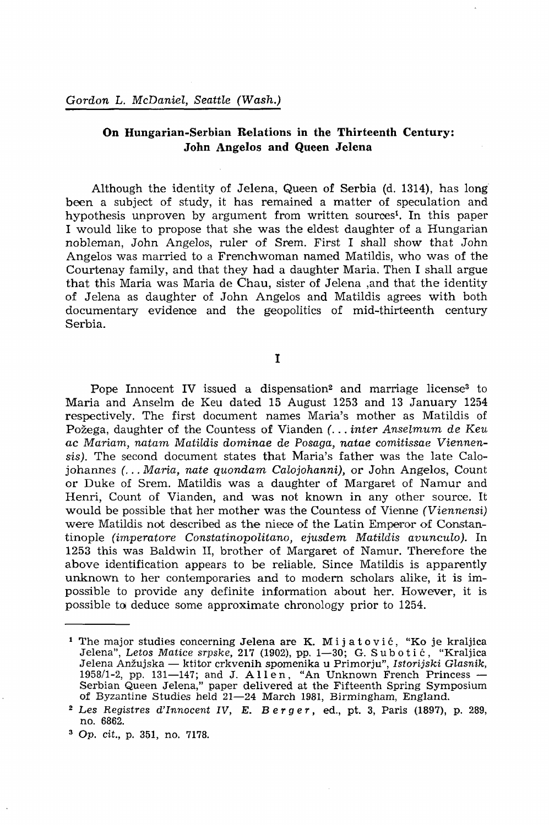## **On Hungarian-Serbian Relations in the Thirteenth Century: John Angelos and Queen Jelena**

Although the identity of Jelena, Queen of Serbia (d. 1314), has long been a subject of study, it has remained a matter of speculation and hypothesis unproven by argument from written sources<sup>1</sup>. In this paper I would like to propose that she was the eldest daughter of a Hungarian nobleman, John Angelos, ruler of Srem. First I shall show that John Angelos was married to a Frenchwoman named Matildis, who was of the Courtenay family, and that they had a daughter Maria. Then I shall argue that this Maria was Maria de Chau, sister of Jelena ,and that the identity of Jelena as daughter of John Angelos and Matildis agrees with both documentary evidence and the geopolitics of mid-thirteenth century Serbia.

I

Pope Innocent IV issued a dispensation<sup>2</sup> and marriage license<sup>3</sup> to Maria and Anselm de Keu dated 15 August 1253 and 13 January 1254 respectively. The first document names Maria's mother as Matildis of Pozega, daughter of the Countess of Vianden *(.*.. *inter Anselmum de Keu ac Mariam, natam Matildis dominae de Posaga, natae comitissae Viennen*sis). The second document states that Maria's father was the late Calojohannes *(... Maria, nate quondam Calojohanni*), or John Angelos, Count or Duke of Srem. Matildis was a daughter of Margaret of Namur and Henri, Count of Vianden, and was not known in any other source. It would be possible that her mother was the Countess of Vienne *(Viennensi)* were Matildis not described as the niece of the Latin Emperor of Constantinople *(imperatore Constatinopolitano, ejusdem Matildis avunculo).* In 1253 this was Baldwin II, brother of Margaret of Namur. Therefore the above identification appears to be reliable. Since Matildis is apparently unknown to her contemporaries and to modern scholars alike, it is impossible to provide any definite information about her. However, it is possible to deduce some approximate chronology prior to 1254.

<sup>&</sup>lt;sup>1</sup> The major studies concerning Jelena are K. Mijatović, "Ko je kraljica Jelena", *Letos Matice srpske,* 217 (1902), pp. 1—30; G. Subotic , "Kraljica Jelena Anzujska — ktitor crkvenih spomenika u Primorju", *Istorijski Glasnik,*  1958/1-2, pp. 131—147; and J. Allen , "An Unknown French Princess — Serbian Queen Jelena," paper delivered at the Fifteenth Spring Symposium of Byzantine Studies held 21—24 March 1981, Birmingham, England.

<sup>2</sup>  *Les Registres d'Innocent IV, E. Berger,* ed., pt. 3, Paris (1897), p. 289, no. 6862.

<sup>3</sup>  *Op. cit.,* p. 351, no. 7178.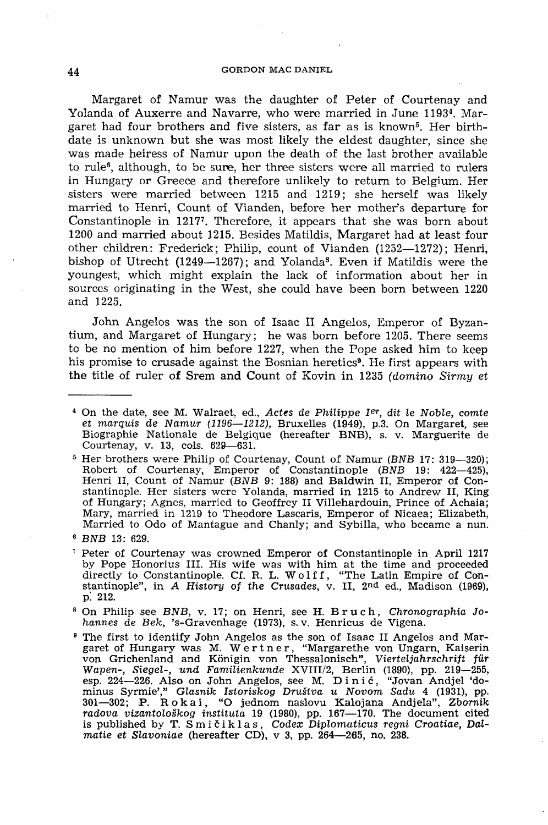Margaret of Namur was the daughter of Peter of Courtenay and Yolanda of Auxerre and Navarre, who were married in June 1193<sup>4</sup>. Margaret had four brothers and five sisters, as far as is known<sup>5</sup>. Her birthdate is unknown but she was most likely the eldest daughter, since she was made heiress of Namur upon the death of the last brother available to rule<sup>6</sup>, although, to be sure, her three sisters were all married to rulers in Hungary or Greece and therefore unlikely to return to Belgium. Her sisters were married between 1215 and 1219; she herself was likely married to Henri, Count of Vianden, before her mother's departure for Constantinople in 12177. Therefore, it appears that she was born about 1200 and married about 1215. Besides Matildis, Margaret had at least four other children: Frederick; Philip, count of Vianden (1252—1272); Henri, bishop of Utrecht (1249-1267); and Yolanda<sup>8</sup>. Even if Matildis were the youngest, which might explain the lack of information about her in sources originating in the West, she could have been born between 1220 and 1225.

John Angelos was the son of Isaac II Angelos, Emperor of Byzantium, and Margaret of Hungary; he was born before 1205. There seems to be no mention of him before 1227, when the Pope asked him to keep his promise to crusade against the Bosnian heretics<sup>9</sup>. He first appears with the title of ruler of Srem and Count of Kovin in 1235 *(domino Sirmy et* 

5 Her brothers were Philip of Courtenay, Count of Namur *(BNB* 17: 319—320); Robert of Courtenay, Emperor of Constantinople (BNB 19: 422-425), Henri II, Count of Namur (BNB 9: 188) and Baldwin II, Emperor of Constantinople. Her sisters were Yolanda, married in 1215 to Andrew II, King of Hungary; Agnes, married to Geoffrey II Villehardouin, Prince of Achaia; Mary, married in 1219 to Theodore Lascaris, Emperor of Nicaea; Elizabeth, Married to Odo of Mantague and Chanly; and Sybilla, who became a nun.

<sup>&</sup>lt;sup>4</sup> On the date, see M. Walraet, ed., Actes de Philippe I<sup>er</sup>, dit le Noble, comte *et marquis de Namur (1196*—*1212),* Bruxelles (1949), p.3. On Margaret, see Biographie Nationale de Belgique (hereafter BNB), s. v. Marguerite de Courtenay, v. 13, cols. 629—631.

<sup>6</sup>  *BNB* 13: 629.

<sup>7</sup> Peter of Courtenay was crowned Emperor of Constantinople in April 1217 by Pope Honorius III. His wife was with him at the time and proceeded directly to Constantinople. Cf. R. L. Wolff, "The Latin Empire of Constantinople", in *A History of the Crusades,* v. II, 2<sup>n</sup> d ed., Madison (1969), p: 212.

<sup>8</sup> On Philip see *BNB,* v. 17; on Henri, see H. Bruch , *Chronographia Johannes de Bek,* 's-Gravenhage (1973), s. v. Henricus de Vigena.

<sup>9</sup> The first to identify John Angelos as the son of Isaac II Angelos and Margaret of Hungary was M. Wertner, "Margarethe von Ungarn, Kaiserin von Grichenland and Königin von Thessalonisch", *Vierteljahrschrift für Wapen-, Siegel-, und Familienkunde* XVIII/2, Berlin (1890), pp. 219—255, esp. 224—226. Also on John Angelos, see M. Dinic , "Jovan Andjel 'dominus Syrmie'," *Glasnik Istoriskog Drustva u Novom Sadu* 4 (1931), pp. 301—302; P. Rokai , "O jednom naslovu Kalojana Andjela", *Zbornik radova vizantoloSkog instituta* 19 (1980), pp. 167—170. The document cited is published by T. Smiciklas , *Codex Diplomaticus regni Croatiae, Dalmatie et Slavoniae* (hereafter CD), v 3, pp. 264—265, no. 238.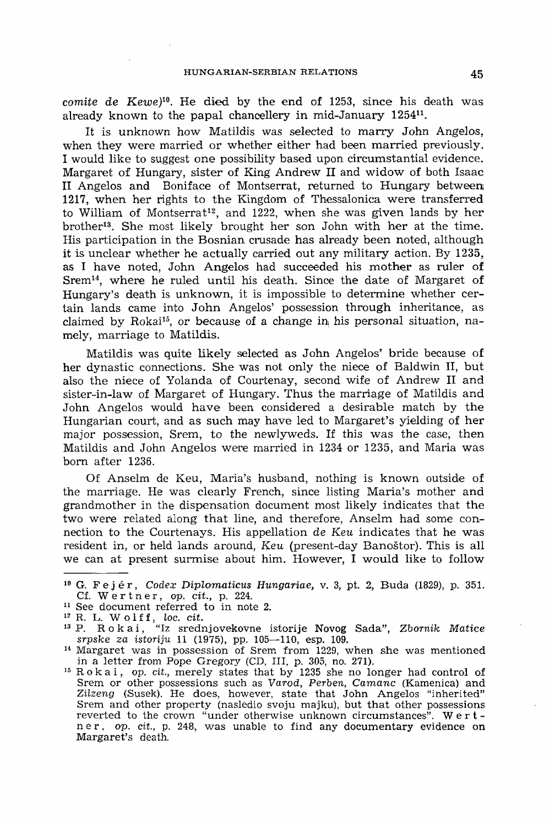*comite de Kewe*)<sup>10</sup>. He died by the end of 1253, since his death was already known to the papal chancellery in mid-January 1254<sup>11</sup>.

It is unknown how Matildis was selected to marry John Angelos, when they were married or whether either had been married previously. I would like to suggest one possibility based upon circumstantial evidence. Margaret of Hungary, sister of King Andrew II and widow of both Isaac II Angelos and Boniface of Montserrat, returned to Hungary between; 1217, when her rights to the Kingdom of Thessalonica were transferred to William of Montserrat<sup>12</sup>, and 1222, when she was given lands by her brother<sup>13</sup>. She most likely brought her son John with her at the time. His participation in the Bosnian crusade has already been noted, although it is unclear whether he actually carried out any military action. By 1235, as I have noted, John Angelos had succeeded his mother as ruler of Srem<sup>14</sup>, where he ruled until his death. Since the date of Margaret of Hungary's death is unknown, it is impossible to determine whether certain lands came into **John** Angelos' possession through inheritance, as claimed by Rokai<sup>15</sup>, or because of a change in his personal situation, namely, marriage to Matildis.

Matildis was quite likely selected as John Angelos' bride because of her dynastic connections. She was not only the niece of Baldwin II, but also the niece of Yolanda of Courtenay, second wife of Andrew II and sister-in-law of Margaret of Hungary. Thus the marriage of Matildis and John Angelos would have been considered a desirable match by the Hungarian court, and as such may have led to Margaret's yielding of her major possession, Srem, to the newlyweds. If this was the case, then Matildis and John Angelos were married in 1234 or 1235, and Maria was born after 1236.

Of Anselm de Keu, Maria's husband, nothing is known outside of the marriage. He was clearly French, since listing Maria's mother and grandmother in the dispensation document most likely indicates that the two were related along that line, and therefore, Anselm had some connection to the Courtenays. His appellation de *Keu* indicates that he was resident in, or held lands around, *Keu* (present-day Banostor). This is all we can at present surmise about him. However, I would like to follow

<sup>10</sup> G. Fejér , Codex *Diplomaticus Hungáriáé,* v. 3, pt. 2, Buda (1829), p. 351. Cf. W e r t n e r, op. *cit.,* p. 224.

<sup>11</sup> See document referred to in note 2.

<sup>12</sup> R. L. Wolff , *loc. cit.*  13 P. Rokai , "Iz srednjovekovne istorije Novog Sada", *Zbomik Matice*  srpske *za istoriju* 11 (1975), pp. 105—110, esp. 109.

<sup>14</sup> Margaret was in possession of Srem from 1229, when she was mentioned in a letter from Pope Gregory (CD, III, p. 305, no. **271).** 

<sup>&</sup>lt;sup>15</sup> Rokai, op. cit., merely states that by 1235 she no longer had control of Srem or other possessions such as *Varod, Perben, Camanc* (Kamenica) and *Zilzeng* (Susek). He does, however, state that John Angelos "inherited" Srem and other property (nasledio svoju majku), but that other possessions reverted to the crown "under otherwise unknown circumstances". Wert ner , op. *cit.,* p. 248, was unable to find any documentary evidence on Margaret's death.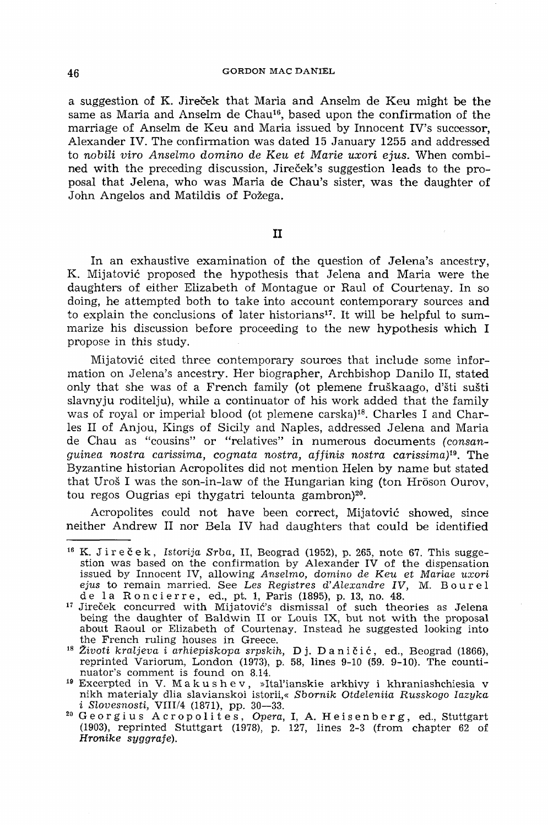a suggestion of K. Jireček that Maria and Anselm de Keu might be the same as Maria and Anselm de Chau<sup>16</sup>, based upon the confirmation of the marriage of Anselm de Keu and Maria issued by Innocent IV's successor. Alexander IV. The confirmation was dated 15 January 1255 and addressed to *nobili viro Anselmo domino de Keu et Marie uxori ejus.* When combined with the preceding discussion, Jirecek's suggestion leads to the proposal that Jelena, who was Maria de Chau's sister, was the daughter of John Angelos and Matildis of Pozega.

## II

In an exhaustive examination of the question of Jelena's ancestry, K. Mijatović proposed the hypothesis that Jelena and Maria were the daughters of either Elizabeth of Montague or Raul of Courtenay. In so doing, he attempted both to take into account contemporary sources and to explain the conclusions of later historians<sup>17</sup>. It will be helpful to summarize his discussion before proceeding to the new hypothesis which I propose in this study.

Mijatovic cited three contemporary sources that include some information on Jelena's ancestry. Her biographer, Archbishop Danilo II, stated only that she was of a French family (ot plemene fruškaago, d'šti sušti slavnyju roditelju), while a continuator of his work added that the family was of royal or imperial blood (ot plemene carska)<sup>18</sup>. Charles I and Charles II of Anjou, Kings of Sicily and Naples, addressed Jelena and Maria de Chau as "cousins" or "relatives" in numerous documents *(consanguinea nostra carissima, cognata nostra, affinis nostra carissima)<sup>19</sup> .* The Byzantine historian Acropolites did not mention Helen by name but stated that Uros I was the son-in-law of the Hungarian king (ton Hröson Ourov, tou regos Ougrias epi thygatri telounta gambron)<sup>20</sup>.

Acropolites could not have been correct, Mijatovic showed, since neither Andrew II nor Bela IV had daughters that could be identified

<sup>&</sup>lt;sup>16</sup> K. Jireček, *Istorija Srba*, II, Beograd (1952), p. 265, note 67. This suggestion was based on the confirmation by Alexander IV of the dispensation issued by Innocent IV, allowing *Anselmo, domino de Keu et Mariae uxori*  ejus to remain married. See Les Registres d'Alexandre IV, M. Bourel de la Roncierre, ed., pt. 1, Paris (1895), p. 13, no. 48.

<sup>&</sup>lt;sup>17</sup> Jireček concurred with Mijatović's dismissal of such theories as Jelena being the daughter of Baldwin II or Louis IX, but not with the proposal about Raoul or Elizabeth of Courtenay. Instead he suggested looking into the French ruling houses in Greece.

<sup>&</sup>lt;sup>18</sup> Životi kraljeva i arhiepiskopa srpskih, Dj. Daničić, ed., Beograd (1866), reprinted Variorum, London (1973), p. 58, lines 9-10 (59. 9-10). The countinuator's comment is found on 8.14.

Excerpted in V. Makushev , »Ital'ianskie arkhivy i khraniashchiesia v nikh materialy dlia slavianskoi istorii,« *Sbornik Otdeleniia Russkogo Iazyka i Slovesnosti,* VIII/4 (1871), pp. 30—33.

Georgiu s Acropolites , *Opera,* I, A. Heisenberg , ed., Stuttgart (1903), reprinted Stuttgart (1978), p. 127, lines 2-3 (from chapter 62 of *Hronike syggrafe).*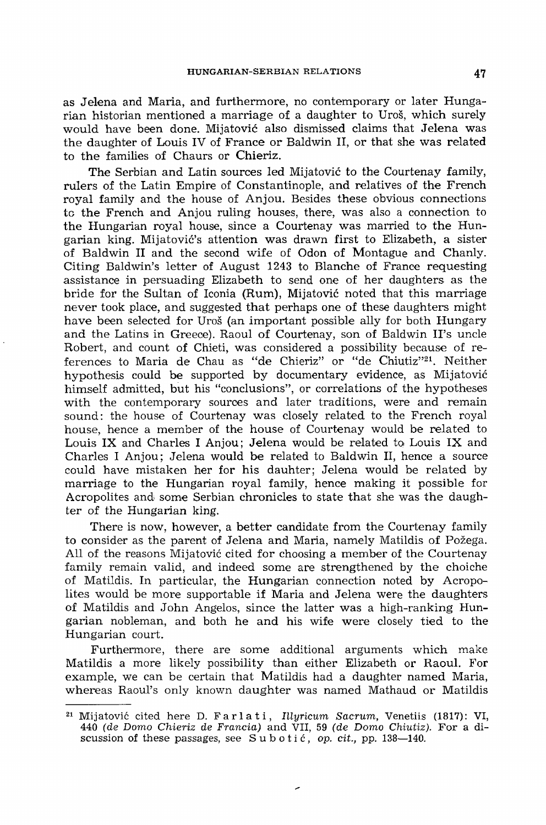as Jelena and Maria, and furthermore, no contemporary or later Hungarian historian mentioned a marriage of a daughter to Uros, which surely would have been done. Mijatovic also dismissed claims that Jelena was the daughter of Louis IV of France or Baldwin II, or that she was related to the families of Chaurs or Chieriz.

The Serbian and Latin sources led Mijatovic to the Courtenay family, rulers of the Latin Empire of Constantinople, and relatives of the French royal family and the house of Anjou. Besides these obvious connections to the French and Anjou ruling houses, there, was also a connection to the Hungarian royal house, since a Courtenay was married to **the** Hungarian king. Mijatovic's attention was drawn first to Elizabeth, a sister of Baldwin II and the second wife of Odon of Montague and Chanly. Citing Baldwin's letter of August 1243 to Blanche of France requesting assistance in persuading Elizabeth to send one of her daughters as the bride for the Sultan of Iconia (Rum), Mijatovic noted that this marriage never took place, and suggested that perhaps one of these daughters might have been selected for Uros (an important possible ally for both Hungary and the Latinsi in Greece). Raoul of Courtenay, son of Baldwin II's uncle Robert, and count of Chieti, was considered a possibility because of references to Maria de Chau as "de Chieriz" or "de Chiutiz"<sup>21</sup> . Neither hypothesis could be supported by documentary evidence, as Mijatovic himself admitted, but his "conclusions", or correlations of the hypotheses with the contemporary sources and later traditions, were and remain sound: the house of Courtenay was closely related to the French royal house, hence a member of the house of Courtenay would be related to Louis IX and Charles I Anjou; Jelena would be related to Louis IX and Charles I Anjou; Jelena would be related to Baldwin II, hence a source could have mistaken her for his dauhter; Jelena would be related by marriage to the Hungarian royal family, hence making it possible for Acropolites and some Serbian chronicles to state that she was the daughter of the Hungarian king.

There is now, however, a better candidate from the Courtenay family to consider as the parent of Jelena and Maria, namely Matildis of Pozega. All of the reasons Mijatovic cited for choosing a member of the Courtenay family remain valid, and indeed some are strengthened by the choiche of Matildis. In particular, the Hungarian connection noted by Acropolites would be more supportable if Maria and Jelena were the daughters of Matildis and John Angelos, since the latter was a high-ranking Hungarian nobleman, and both he and his wife were closely tied to the Hungarian court.

Furthermore, there are some additional arguments which make Matildis a more likely possibility than either Elizabeth or Raoul. For example, we can be certain that Matildis had a daughter named Maria, whereas Raoul's only known daughter was named Mathaud or Matildis

 $\overline{\phantom{a}}$ 

<sup>21</sup> Mijatovic cited here D. Farlati , *Illyricum Sacrum,* Venetiis (1817): VI, 440 *(de Domo Chieriz de Francia)* and VII, 59 *(de Domo Chiutiz).* For a discussion of these passages, see Subotic , op. *cit.,* pp. 138—140.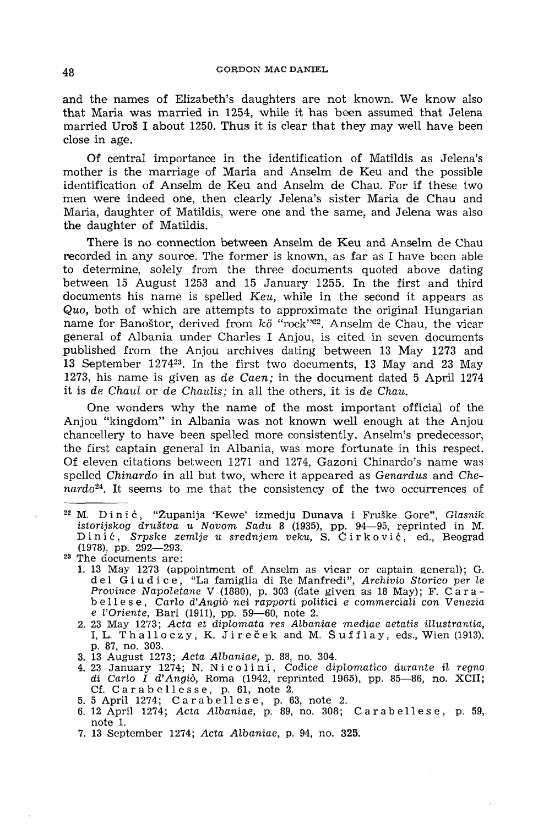and the names of Elizabeth's daughters are not known. We know also that Maria was married in 1254, while it has been assumed that Jelena married Uroš I about 1250. Thus it is clear that they may well have been close in age.

Of central importance in the identification of Matildis as Jelena's mother is the marriage of Maria and Anselm de Keu and the possible identification of Anselm de Keu and Anselm de Chau. For if these two men were indeed one, then clearly Jelena's sister Maria de Chau and Maria, daughter of Matildis, were one and the same, and Jelena was also the daughter of Matildis.

There is no connection between Anselm de Keu and Anselm de Chau recorded in any source. The former is known, as far as I have been able to determine, solely from the three documents quoted above dating between 15 August 1253 and 15 January 1255. In the first and third documents his name is spelled *Keu*, while in the second it appears as *Quo,* both of which are attempts to approximate the original Hungarian name for Banoštor, derived from kő "rock"<sup>22</sup>. Anselm de Chau, the vicar general of Albania under Charles I Anjou, is cited in seven documents published from the Anjou archives dating between 13 May 1273 and 13 September 1274<sup>23</sup> . In the first two documents, 13 May and 23 May 1273, his name is given as *de Caen;* in the document dated 5 April 1274 it is *de Chaul* or *de Chaulis;* in all the others, it is *de Chau.* 

One wonders why the name of the most important official of the Anjou "kingdom" in Albania was not known well enough at the Anjou chancellery to have been spelled more consistently. Anselm's predecessor, the first captain general in Albania, was more fortunate in this respect. Of eleven citations between 1271 and 1274, Gazoni Chinardo's name was spelled *Chinardo* in all but two, where it appeared as *Genardus* and *Chenardo2i .* It seems to me that the consistency of the two occurrences of

- 1. 13 May 1273 (appointment of Anselm as vicar or captain general); G. d e l Giudice , "La famiglia di Re Manfredi", *Archivio Storico per le Province Napoletane* V (1880), p. 303 (date given as 18 May); F. Carab e 11 e s e , *Carlo d'Angiö nei rapporti politici e commerciali con Venezia e l'Oriente,* Bari (1911), pp. 59—60, note 2.
- 2. 23 May 1273; *Acta et diplomata res Albaniae mediae aetatis illustrantia,*  I, L. Thalloczy, K. Jireček and M. Šufflay, eds., Wien (1913). p. 87, no. 303.
- 3. 13 August 1273; *Acta Albaniae,* p. 88, no. 304.
- 4. 23 January 1274; N. Ni col i n i , *Codice diplomatico durante il regno di Carlo I d'Angio,* Roma (1942, reprinted 1965), pp. 85—86, no. XCII; Cf. Carabellesse, p. 61, note 2.
- 5. 5 April 1274; Carabellese, p. 63, note 2.
- 6. 12 April 1274; *Acta Albaniae,* p. 89, no. 308; Carabellese , p. 59, note 1.
- 7. 13 September 1274; *Acta Albaniae,* p. 94, no. 325.

M. Dinié , "Zupanija 'Kewe' izmedju Dunava i Fruske Gore", *Glasnik istorijskog drustva u Novom Sadu* 8 (1935), pp. 94—95, reprinted in M. D i n i c , Srpsfce *zemlje u srednjem veku,* S. C i r k o v i c, ed., Beograd (1978), pp. 292—293.

<sup>&</sup>lt;sup>23</sup> The documents are: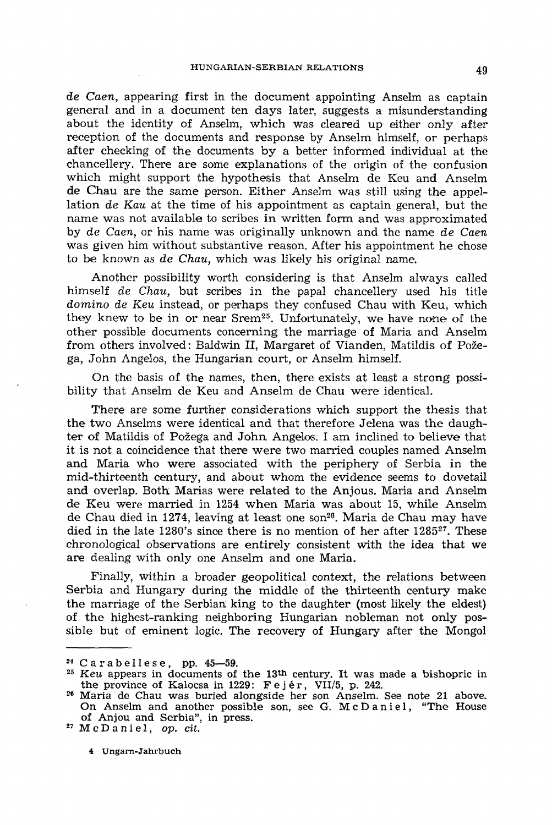*de Caen,* appearing first in the document appointing Anselm as captain general and in a document ten days later, suggests a misunderstanding about the identity of Anselm, which was cleared up either only after reception of the documents and response by Anselm himself, or perhaps after checking of the documents by a better informed individual at the chancellery. There are some explanations of the origin of the confusion which might support the hypothesis that Anselm de Keu and Anselm de Chau are the same person. Either Anselm was still using the appellation *de Kau* at the time of his appointment as captain general, but the name was not available to scribes in written form and was approximated by *de Caen,* or his name was originally unknown and the name *de Caen*  was given him without substantive reason. After his appointment he chose to be known as *de Chau,* which was likely his original name.

Another possibility worth considering is that Anselm always called himself *de Chau,* but scribes in the papal chancellery used his title *domino de Keu* instead, or perhaps they confused Chau with Keu, which they knew to be in or near Srem<sup>25</sup>. Unfortunately, we have none of the other possible documents concerning the marriage of Maria and Anselm from others involved: Baldwin II, Margaret of Vianden, Matildis of Pozega, John Angelos, the Hungarian court, or Anselm himself.

On the basis of the names, then, there exists at least a strong possibility that Anselm de Keu and Anselm de Chau were identical.

There are some further considerations which support the thesis that the two Anselms were identical and that therefore Jelena was the daughter of Matildis of Pozega and John Angelos:. I am inclined to believe that it is not a coincidence that there were two married couples named Anselm and Maria who were associated with the periphery of Serbia in the mid-thirteenth century, and about whom the evidence seems to dovetail and overlap. Both Marias were related to the Anjous. Maria and Anselm de Keu were married in 1254 when Maria was about 15, while Anselm de Chau died in 1274, leaving at least one son<sup>26</sup>. Maria de Chau may have died in the late 1280's since there is no mention of her after  $1285^{27}$ . These chronological observations are entirely consistent with the idea that we are dealing with only one Anselm and one Maria.

Finally, within a broader geopolitical context, the relations between Serbia and Hungary during the middle of the thirteenth century make the marriage of the Serbian king to the daughter (most likely the eldest) of the highest-ranking neighboring Hungarian nobleman not only possible but of eminent logic. The recovery of Hungary after the Mongol

McDaniel, *op. cit.* 

4 Ungarn-Jahrbuch

<sup>&</sup>lt;sup>24</sup> Carabellese, pp.  $45-59$ .<br><sup>25</sup> Key appears in decuments of

*Keu* appears in documents of the 13th century. It was made a bishopric in the province of Kalocsa in 1229:  $Fejér$ , VII/5, p. 242.

Maria de Chau was buried alongside her son Anselm. See note 21 above. On Anselm and another possible son, see G. McDaniel, "The House of Anjou and Serbia", in press.